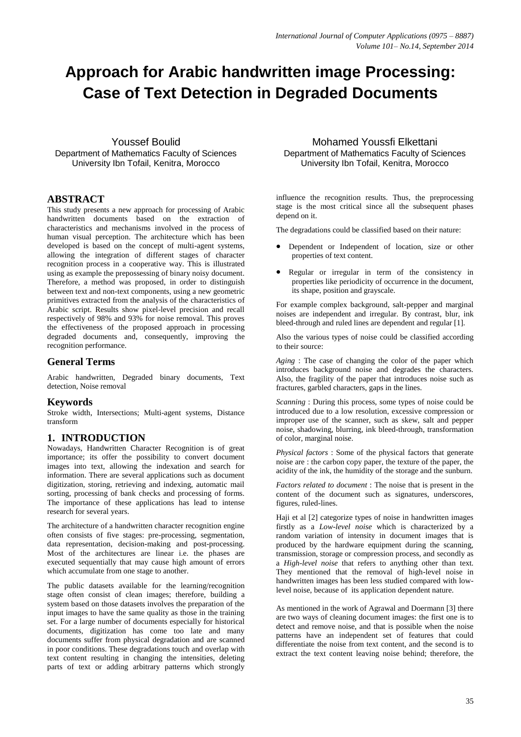# **Approach for Arabic handwritten image Processing: Case of Text Detection in Degraded Documents**

Youssef Boulid Department of Mathematics Faculty of Sciences University Ibn Tofail, Kenitra, Morocco

## **ABSTRACT**

This study presents a new approach for processing of Arabic handwritten documents based on the extraction of characteristics and mechanisms involved in the process of human visual perception. The architecture which has been developed is based on the concept of multi-agent systems. allowing the integration of different stages of character recognition process in a cooperative way. This is illustrated using as example the prepossessing of binary noisy document. Therefore, a method was proposed, in order to distinguish between text and non-text components, using a new geometric primitives extracted from the analysis of the characteristics of Arabic script. Results show pixel-level precision and recall respectively of 98% and 93% for noise removal. This proves the effectiveness of the proposed approach in processing degraded documents and, consequently, improving the recognition performance.

# **General Terms**

Arabic handwritten, Degraded binary documents, Text detection, Noise removal

## **Keywords**

Stroke width, Intersections; Multi-agent systems, Distance transform

# **1. INTRODUCTION**

Nowadays, Handwritten Character Recognition is of great importance; its offer the possibility to convert document images into text, allowing the indexation and search for information. There are several applications such as document digitization, storing, retrieving and indexing, automatic mail sorting, processing of bank checks and processing of forms. The importance of these applications has lead to intense research for several years.

The architecture of a handwritten character recognition engine often consists of five stages: pre-processing, segmentation, data representation, decision-making and post-processing. Most of the architectures are linear i.e. the phases are executed sequentially that may cause high amount of errors which accumulate from one stage to another.

The public datasets available for the learning/recognition stage often consist of clean images; therefore, building a system based on those datasets involves the preparation of the input images to have the same quality as those in the training set. For a large number of documents especially for historical documents, digitization has come too late and many documents suffer from physical degradation and are scanned in poor conditions. These degradations touch and overlap with text content resulting in changing the intensities, deleting parts of text or adding arbitrary patterns which strongly

Mohamed Youssfi Elkettani Department of Mathematics Faculty of Sciences University Ibn Tofail, Kenitra, Morocco

influence the recognition results. Thus, the preprocessing stage is the most critical since all the subsequent phases depend on it.

The degradations could be classified based on their nature:

- Dependent or Independent of location, size or other properties of text content.
- Regular or irregular in term of the consistency in properties like periodicity of occurrence in the document, its shape, position and grayscale.

For example complex background, salt-pepper and marginal noises are independent and irregular. By contrast, blur, ink bleed-through and ruled lines are dependent and regular [1].

Also the various types of noise could be classified according to their source:

*Aging* : The case of changing the color of the paper which introduces background noise and degrades the characters. Also, the fragility of the paper that introduces noise such as fractures, garbled characters, gaps in the lines.

*Scanning* : During this process, some types of noise could be introduced due to a low resolution, excessive compression or improper use of the scanner, such as skew, salt and pepper noise, shadowing, blurring, ink bleed-through, transformation of color, marginal noise.

*Physical factors* : Some of the physical factors that generate noise are : the carbon copy paper, the texture of the paper, the acidity of the ink, the humidity of the storage and the sunburn.

*Factors related to document* : The noise that is present in the content of the document such as signatures, underscores, figures, ruled-lines.

Haji et al [2] categorize types of noise in handwritten images firstly as a *Low-level noise* which is characterized by a random variation of intensity in document images that is produced by the hardware equipment during the scanning, transmission, storage or compression process, and secondly as a *High-level noise* that refers to anything other than text. They mentioned that the removal of high-level noise in handwritten images has been less studied compared with lowlevel noise, because of its application dependent nature.

As mentioned in the work of Agrawal and Doermann [3] there are two ways of cleaning document images: the first one is to detect and remove noise, and that is possible when the noise patterns have an independent set of features that could differentiate the noise from text content, and the second is to extract the text content leaving noise behind; therefore, the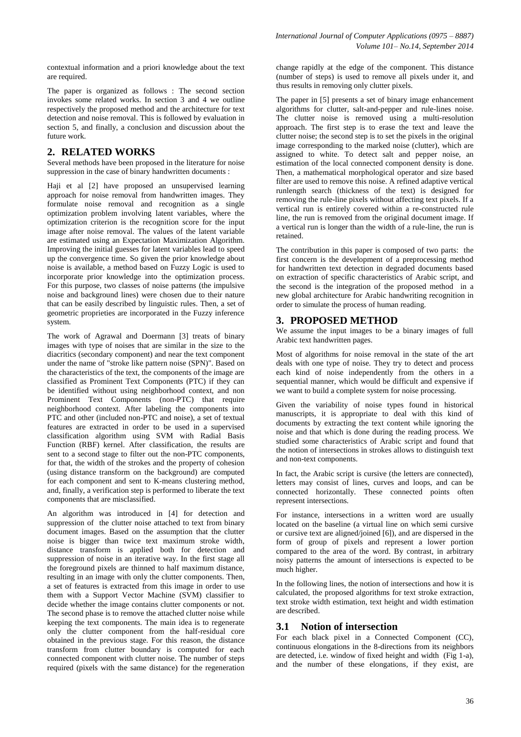contextual information and a priori knowledge about the text are required.

The paper is organized as follows : The second section invokes some related works. In section 3 and 4 we outline respectively the proposed method and the architecture for text detection and noise removal. This is followed by evaluation in section 5, and finally, a conclusion and discussion about the future work.

# **2. RELATED WORKS**

Several methods have been proposed in the literature for noise suppression in the case of binary handwritten documents :

Haji et al [2] have proposed an unsupervised learning approach for noise removal from handwritten images. They formulate noise removal and recognition as a single optimization problem involving latent variables, where the optimization criterion is the recognition score for the input image after noise removal. The values of the latent variable are estimated using an Expectation Maximization Algorithm. Improving the initial guesses for latent variables lead to speed up the convergence time. So given the prior knowledge about noise is available, a method based on Fuzzy Logic is used to incorporate prior knowledge into the optimization process. For this purpose, two classes of noise patterns (the impulsive noise and background lines) were chosen due to their nature that can be easily described by linguistic rules. Then, a set of geometric proprieties are incorporated in the Fuzzy inference system.

The work of Agrawal and Doermann [3] treats of binary images with type of noises that are similar in the size to the diacritics (secondary component) and near the text component under the name of "stroke like pattern noise (SPN)". Based on the characteristics of the text, the components of the image are classified as Prominent Text Components (PTC) if they can be identified without using neighborhood context, and non Prominent Text Components (non-PTC) that require neighborhood context. After labeling the components into PTC and other (included non-PTC and noise), a set of textual features are extracted in order to be used in a supervised classification algorithm using SVM with Radial Basis Function (RBF) kernel. After classification, the results are sent to a second stage to filter out the non-PTC components, for that, the width of the strokes and the property of cohesion (using distance transform on the background) are computed for each component and sent to K-means clustering method, and, finally, a verification step is performed to liberate the text components that are misclassified.

An algorithm was introduced in [4] for detection and suppression of the clutter noise attached to text from binary document images. Based on the assumption that the clutter noise is bigger than twice text maximum stroke width, distance transform is applied both for detection and suppression of noise in an iterative way. In the first stage all the foreground pixels are thinned to half maximum distance, resulting in an image with only the clutter components. Then, a set of features is extracted from this image in order to use them with a Support Vector Machine (SVM) classifier to decide whether the image contains clutter components or not. The second phase is to remove the attached clutter noise while keeping the text components. The main idea is to regenerate only the clutter component from the half-residual core obtained in the previous stage. For this reason, the distance transform from clutter boundary is computed for each connected component with clutter noise. The number of steps required (pixels with the same distance) for the regeneration

change rapidly at the edge of the component. This distance (number of steps) is used to remove all pixels under it, and thus results in removing only clutter pixels.

The paper in [5] presents a set of binary image enhancement algorithms for clutter, salt-and-pepper and rule-lines noise. The clutter noise is removed using a multi-resolution approach. The first step is to erase the text and leave the clutter noise; the second step is to set the pixels in the original image corresponding to the marked noise (clutter), which are assigned to white. To detect salt and pepper noise, an estimation of the local connected component density is done. Then, a mathematical morphological operator and size based filter are used to remove this noise. A refined adaptive vertical runlength search (thickness of the text) is designed for removing the rule-line pixels without affecting text pixels. If a vertical run is entirely covered within a re-constructed rule line, the run is removed from the original document image. If a vertical run is longer than the width of a rule-line, the run is retained.

The contribution in this paper is composed of two parts: the first concern is the development of a preprocessing method for handwritten text detection in degraded documents based on extraction of specific characteristics of Arabic script, and the second is the integration of the proposed method in a new global architecture for Arabic handwriting recognition in order to simulate the process of human reading.

#### **3. PROPOSED METHOD**

We assume the input images to be a binary images of full Arabic text handwritten pages.

Most of algorithms for noise removal in the state of the art deals with one type of noise. They try to detect and process each kind of noise independently from the others in a sequential manner, which would be difficult and expensive if we want to build a complete system for noise processing.

Given the variability of noise types found in historical manuscripts, it is appropriate to deal with this kind of documents by extracting the text content while ignoring the noise and that which is done during the reading process. We studied some characteristics of Arabic script and found that the notion of intersections in strokes allows to distinguish text and non-text components.

In fact, the Arabic script is cursive (the letters are connected), letters may consist of lines, curves and loops, and can be connected horizontally. These connected points often represent intersections.

For instance, intersections in a written word are usually located on the baseline (a virtual line on which semi cursive or cursive text are aligned/joined [6]), and are dispersed in the form of group of pixels and represent a lower portion compared to the area of the word. By contrast, in arbitrary noisy patterns the amount of intersections is expected to be much higher.

In the following lines, the notion of intersections and how it is calculated, the proposed algorithms for text stroke extraction, text stroke width estimation, text height and width estimation are described.

## **3.1 Notion of intersection**

For each black pixel in a Connected Component (CC), continuous elongations in the 8-directions from its neighbors are detected, i.e. window of fixed height and width (Fig 1-a), and the number of these elongations, if they exist, are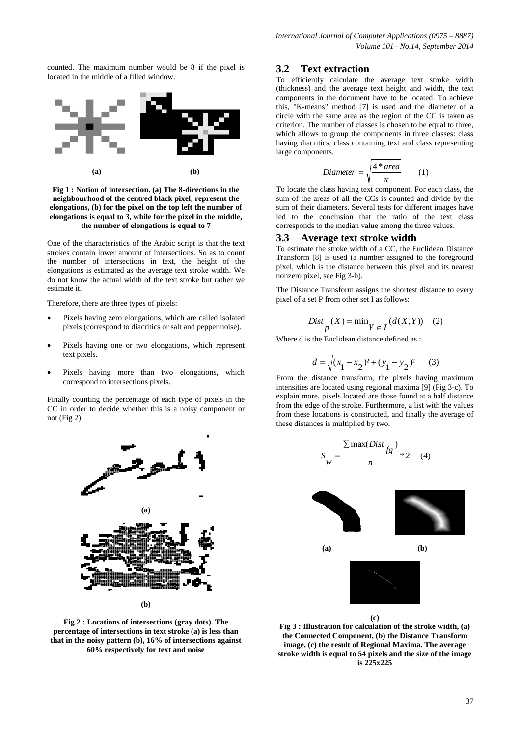counted. The maximum number would be 8 if the pixel is located in the middle of a filled window.



**Fig 1 : Notion of intersection. (a) The 8-directions in the neighbourhood of the centred black pixel, represent the elongations, (b) for the pixel on the top left the number of elongations is equal to 3, while for the pixel in the middle, the number of elongations is equal to 7**

One of the characteristics of the Arabic script is that the text strokes contain lower amount of intersections. So as to count the number of intersections in text, the height of the elongations is estimated as the average text stroke width. We do not know the actual width of the text stroke but rather we estimate it.

Therefore, there are three types of pixels:

- Pixels having zero elongations, which are called isolated pixels (correspond to diacritics or salt and pepper noise).
- Pixels having one or two elongations, which represent text pixels.
- Pixels having more than two elongations, which correspond to intersections pixels.

Finally counting the percentage of each type of pixels in the CC in order to decide whether this is a noisy component or not (Fig 2).



**Fig 2 : Locations of intersections (gray dots). The percentage of intersections in text stroke (a) is less than that in the noisy pattern (b), 16% of intersections against 60% respectively for text and noise**

#### **3.2 Text extraction**

To efficiently calculate the average text stroke width (thickness) and the average text height and width, the text components in the document have to be located. To achieve this, "K-means" method [7] is used and the diameter of a circle with the same area as the region of the CC is taken as criterion. The number of classes is chosen to be equal to three, which allows to group the components in three classes: class having diacritics, class containing text and class representing large components.

$$
Diameter = \sqrt{\frac{4*area}{\pi}} \qquad (1)
$$

To locate the class having text component. For each class, the sum of the areas of all the CCs is counted and divide by the sum of their diameters. Several tests for different images have led to the conclusion that the ratio of the text class corresponds to the median value among the three values.

#### **3.3 Average text stroke width**

To estimate the stroke width of a CC, the Euclidean Distance Transform [8] is used (a number assigned to the foreground pixel, which is the distance between this pixel and its nearest nonzero pixel, see Fig 3-b).

The Distance Transform assigns the shortest distance to every pixel of a set P from other set I as follows:

$$
Dist_{p}(X) = \min_{Y \in I} (d(X, Y)) \quad (2)
$$

Where d is the Euclidean distance defined as :

$$
d = \sqrt{(x_1 - x_2)^2 + (y_1 - y_2)^2}
$$
 (3)

From the distance transform, the pixels having maximum intensities are located using regional maxima [9] (Fig 3-c). To explain more, pixels located are those found at a half distance from the edge of the stroke. Furthermore, a list with the values from these locations is constructed, and finally the average of these distances is multiplied by two.



**Fig 3 : Illustration for calculation of the stroke width, (a) the Connected Component, (b) the Distance Transform image, (c) the result of Regional Maxima. The average stroke width is equal to 54 pixels and the size of the image is 225x225**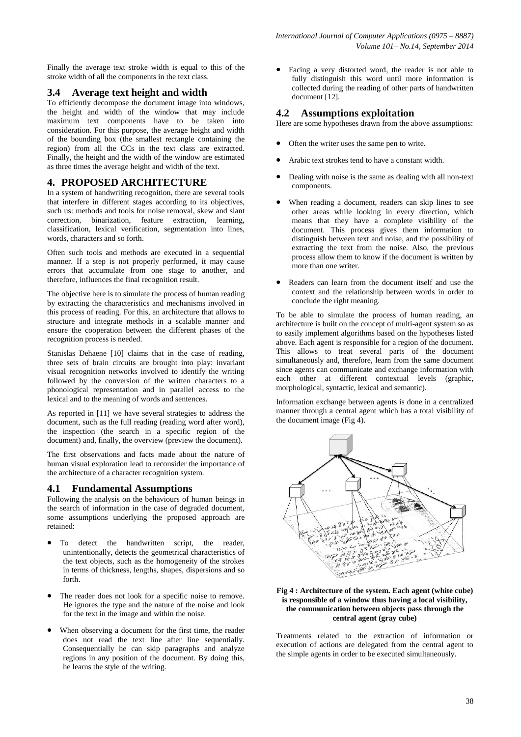Finally the average text stroke width is equal to this of the stroke width of all the components in the text class.

#### **3.4 Average text height and width**

To efficiently decompose the document image into windows, the height and width of the window that may include maximum text components have to be taken into consideration. For this purpose, the average height and width of the bounding box (the smallest rectangle containing the region) from all the CCs in the text class are extracted. Finally, the height and the width of the window are estimated as three times the average height and width of the text.

#### **4. PROPOSED ARCHITECTURE**

In a system of handwriting recognition, there are several tools that interfere in different stages according to its objectives, such us: methods and tools for noise removal, skew and slant correction, binarization, feature extraction, learning, classification, lexical verification, segmentation into lines, words, characters and so forth.

Often such tools and methods are executed in a sequential manner. If a step is not properly performed, it may cause errors that accumulate from one stage to another, and therefore, influences the final recognition result.

The objective here is to simulate the process of human reading by extracting the characteristics and mechanisms involved in this process of reading. For this, an architecture that allows to structure and integrate methods in a scalable manner and ensure the cooperation between the different phases of the recognition process is needed.

Stanislas Dehaene [10] claims that in the case of reading, three sets of brain circuits are brought into play: invariant visual recognition networks involved to identify the writing followed by the conversion of the written characters to a phonological representation and in parallel access to the lexical and to the meaning of words and sentences.

As reported in [11] we have several strategies to address the document, such as the full reading (reading word after word), the inspection (the search in a specific region of the document) and, finally, the overview (preview the document).

The first observations and facts made about the nature of human visual exploration lead to reconsider the importance of the architecture of a character recognition system.

#### **4.1 Fundamental Assumptions**

Following the analysis on the behaviours of human beings in the search of information in the case of degraded document, some assumptions underlying the proposed approach are retained:

- To detect the handwritten script, the reader, unintentionally, detects the geometrical characteristics of the text objects, such as the homogeneity of the strokes in terms of thickness, lengths, shapes, dispersions and so forth.
- The reader does not look for a specific noise to remove. He ignores the type and the nature of the noise and look for the text in the image and within the noise.
- When observing a document for the first time, the reader does not read the text line after line sequentially. Consequentially he can skip paragraphs and analyze regions in any position of the document. By doing this, he learns the style of the writing.

 Facing a very distorted word, the reader is not able to fully distinguish this word until more information is collected during the reading of other parts of handwritten document [12].

#### **4.2 Assumptions exploitation**

Here are some hypotheses drawn from the above assumptions:

- Often the writer uses the same pen to write.
- Arabic text strokes tend to have a constant width.
- Dealing with noise is the same as dealing with all non-text components.
- When reading a document, readers can skip lines to see other areas while looking in every direction, which means that they have a complete visibility of the document. This process gives them information to distinguish between text and noise, and the possibility of extracting the text from the noise. Also, the previous process allow them to know if the document is written by more than one writer.
- Readers can learn from the document itself and use the context and the relationship between words in order to conclude the right meaning.

To be able to simulate the process of human reading, an architecture is built on the concept of multi-agent system so as to easily implement algorithms based on the hypotheses listed above. Each agent is responsible for a region of the document. This allows to treat several parts of the document simultaneously and, therefore, learn from the same document since agents can communicate and exchange information with each other at different contextual levels (graphic, morphological, syntactic, lexical and semantic).

Information exchange between agents is done in a centralized manner through a central agent which has a total visibility of the document image (Fig 4).



#### **Fig 4 : Architecture of the system. Each agent (white cube) is responsible of a window thus having a local visibility, the communication between objects pass through the central agent (gray cube)**

Treatments related to the extraction of information or execution of actions are delegated from the central agent to the simple agents in order to be executed simultaneously.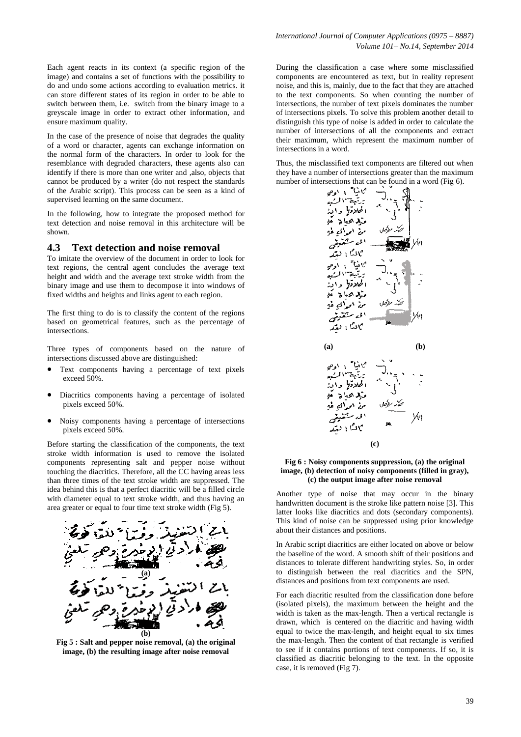Each agent reacts in its context (a specific region of the image) and contains a set of functions with the possibility to do and undo some actions according to evaluation metrics. it can store different states of its region in order to be able to switch between them, i.e. switch from the binary image to a greyscale image in order to extract other information, and ensure maximum quality.

In the case of the presence of noise that degrades the quality of a word or character, agents can exchange information on the normal form of the characters. In order to look for the resemblance with degraded characters, these agents also can identify if there is more than one writer and ,also, objects that cannot be produced by a writer (do not respect the standards of the Arabic script). This process can be seen as a kind of supervised learning on the same document.

In the following, how to integrate the proposed method for text detection and noise removal in this architecture will be shown.

#### **4.3 Text detection and noise removal**

To imitate the overview of the document in order to look for text regions, the central agent concludes the average text height and width and the average text stroke width from the binary image and use them to decompose it into windows of fixed widths and heights and links agent to each region.

The first thing to do is to classify the content of the regions based on geometrical features, such as the percentage of intersections.

Three types of components based on the nature of intersections discussed above are distinguished:

- Text components having a percentage of text pixels exceed 50%.
- Diacritics components having a percentage of isolated pixels exceed 50%.
- Noisy components having a percentage of intersections pixels exceed 50%.

Before starting the classification of the components, the text stroke width information is used to remove the isolated components representing salt and pepper noise without touching the diacritics. Therefore, all the CC having areas less than three times of the text stroke width are suppressed. The idea behind this is that a perfect diacritic will be a filled circle with diameter equal to text stroke width, and thus having an area greater or equal to four time text stroke width (Fig 5).



**Fig 5 : Salt and pepper noise removal, (a) the original image, (b) the resulting image after noise removal**

During the classification a case where some misclassified components are encountered as text, but in reality represent noise, and this is, mainly, due to the fact that they are attached to the text components. So when counting the number of intersections, the number of text pixels dominates the number of intersections pixels. To solve this problem another detail to distinguish this type of noise is added in order to calculate the number of intersections of all the components and extract their maximum, which represent the maximum number of intersections in a word.

Thus, the misclassified text components are filtered out when they have a number of intersections greater than the maximum number of intersections that can be found in a word (Fig 6).



#### **Fig 6 : Noisy components suppression, (a) the original image, (b) detection of noisy components (filled in gray), (c) the output image after noise removal**

Another type of noise that may occur in the binary handwritten document is the stroke like pattern noise [3]. This latter looks like diacritics and dots (secondary components). This kind of noise can be suppressed using prior knowledge about their distances and positions.

In Arabic script diacritics are either located on above or below the baseline of the word. A smooth shift of their positions and distances to tolerate different handwriting styles. So, in order to distinguish between the real diacritics and the SPN, distances and positions from text components are used.

For each diacritic resulted from the classification done before (isolated pixels), the maximum between the height and the width is taken as the max-length. Then a vertical rectangle is drawn, which is centered on the diacritic and having width equal to twice the max-length, and height equal to six times the max-length. Then the content of that rectangle is verified to see if it contains portions of text components. If so, it is classified as diacritic belonging to the text. In the opposite case, it is removed (Fig 7).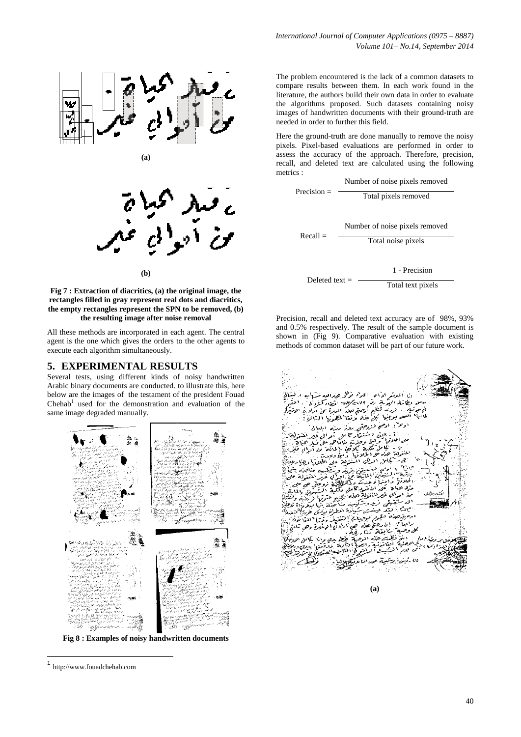

**(a)**



**Fig 7 : Extraction of diacritics, (a) the original image, the rectangles filled in gray represent real dots and diacritics, the empty rectangles represent the SPN to be removed, (b) the resulting image after noise removal**

All these methods are incorporated in each agent. The central agent is the one which gives the orders to the other agents to execute each algorithm simultaneously.

#### **5. EXPERIMENTAL RESULTS**

Several tests, using different kinds of noisy handwritten Arabic binary documents are conducted. to illustrate this, here below are the images of the testament of the president Fouad Chehab<sup>1</sup> used for the demonstration and evaluation of the same image degraded manually.



**Fig 8 : Examples of noisy handwritten documents**

**.** 

The problem encountered is the lack of a common datasets to compare results between them. In each work found in the literature, the authors build their own data in order to evaluate the algorithms proposed. Such datasets containing noisy images of handwritten documents with their ground-truth are needed in order to further this field.

Here the ground-truth are done manually to remove the noisy pixels. Pixel-based evaluations are performed in order to assess the accuracy of the approach. Therefore, precision, recall, and deleted text are calculated using the following metrics :



Precision, recall and deleted text accuracy are of 98%, 93% and 0.5% respectively. The result of the sample document is shown in (Fig 9). Comparative evaluation with existing methods of common dataset will be part of our future work.



**(a)**

<sup>1</sup> http://www.fouadchehab.com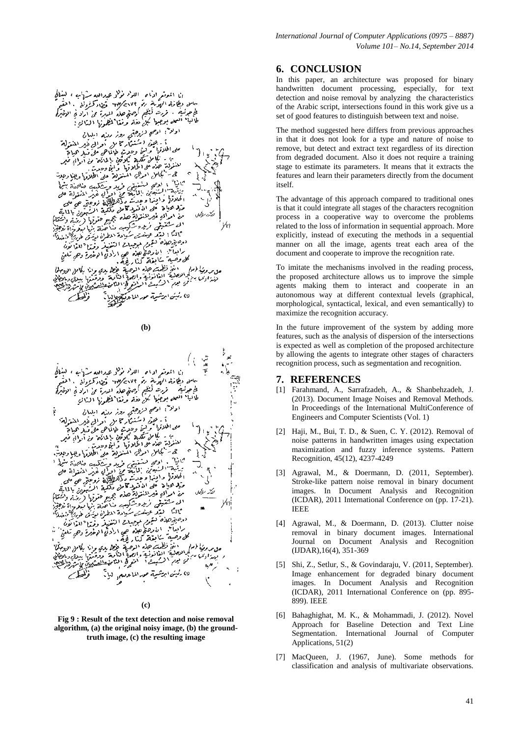

**(b)**





**Fig 9 : Result of the text detection and noise removal algorithm, (a) the original noisy image, (b) the groundtruth image, (c) the resulting image**

## **6. CONCLUSION**

In this paper, an architecture was proposed for binary handwritten document processing, especially, for text detection and noise removal by analyzing the characteristics of the Arabic script, intersections found in this work give us a set of good features to distinguish between text and noise.

The method suggested here differs from previous approaches in that it does not look for a type and nature of noise to remove, but detect and extract text regardless of its direction from degraded document. Also it does not require a training stage to estimate its parameters. It means that it extracts the features and learn their parameters directly from the document itself.

The advantage of this approach compared to traditional ones is that it could integrate all stages of the characters recognition process in a cooperative way to overcome the problems related to the loss of information in sequential approach. More explicitly, instead of executing the methods in a sequential manner on all the image, agents treat each area of the document and cooperate to improve the recognition rate.

To imitate the mechanisms involved in the reading process, the proposed architecture allows us to improve the simple agents making them to interact and cooperate in an autonomous way at different contextual levels (graphical, morphological, syntactical, lexical, and even semantically) to maximize the recognition accuracy.

In the future improvement of the system by adding more features, such as the analysis of dispersion of the intersections is expected as well as completion of the proposed architecture by allowing the agents to integrate other stages of characters recognition process, such as segmentation and recognition.

## **7. REFERENCES**

- [1] Farahmand, A., Sarrafzadeh, A., & Shanbehzadeh, J. (2013). Document Image Noises and Removal Methods. In Proceedings of the International MultiConference of Engineers and Computer Scientists (Vol. 1)
- [2] Haji, M., Bui, T. D., & Suen, C. Y. (2012). Removal of noise patterns in handwritten images using expectation maximization and fuzzy inference systems. Pattern Recognition, 45(12), 4237-4249
- [3] Agrawal, M., & Doermann, D. (2011, September). Stroke-like pattern noise removal in binary document images. In Document Analysis and Recognition (ICDAR), 2011 International Conference on (pp. 17-21). IEEE
- [4] Agrawal, M., & Doermann, D. (2013). Clutter noise removal in binary document images. International Journal on Document Analysis and Recognition (IJDAR),16(4), 351-369
- [5] Shi, Z., Setlur, S., & Govindaraju, V. (2011, September). Image enhancement for degraded binary document images. In Document Analysis and Recognition (ICDAR), 2011 International Conference on (pp. 895- 899). IEEE
- [6] Bahaghighat, M. K., & Mohammadi, J. (2012). Novel Approach for Baseline Detection and Text Line Segmentation. International Journal of Computer Applications, 51(2)
- [7] MacQueen, J. (1967, June). Some methods for classification and analysis of multivariate observations.